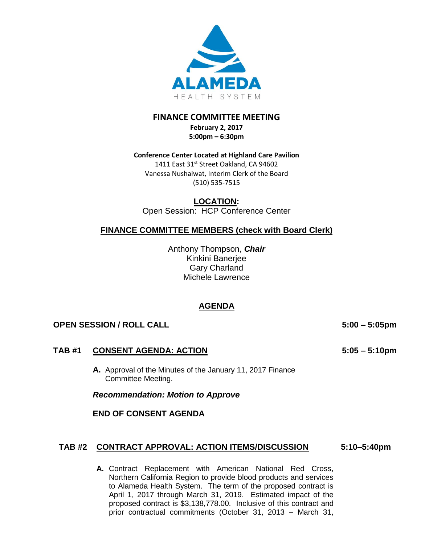

## **FINANCE COMMITTEE MEETING**

**February 2, 2017 5:00pm – 6:30pm** 

#### **Conference Center Located at Highland Care Pavilion**

1411 East 31st Street Oakland, CA 94602 Vanessa Nushaiwat, Interim Clerk of the Board (510) 535-7515

### **LOCATION:**

Open Session: HCP Conference Center

### **FINANCE COMMITTEE MEMBERS (check with Board Clerk)**

Anthony Thompson, *Chair* Kinkini Banerjee Gary Charland Michele Lawrence

### **AGENDA**

#### **OPEN SESSION / ROLL CALL 5:00 – 5:05pm**

#### **TAB #1 CONSENT AGENDA: ACTION**

**A.** Approval of the Minutes of the January 11, 2017 Finance Committee Meeting.

*Recommendation: Motion to Approve*

**END OF CONSENT AGENDA**

#### **TAB #2 CONTRACT APPROVAL: ACTION ITEMS/DISCUSSION 5:10–5:40pm**

**A.** Contract Replacement with American National Red Cross, Northern California Region to provide blood products and services to Alameda Health System. The term of the proposed contract is April 1, 2017 through March 31, 2019. Estimated impact of the proposed contract is \$3,138,778.00. Inclusive of this contract and prior contractual commitments (October 31, 2013 – March 31,

**5:05 – 5:10pm**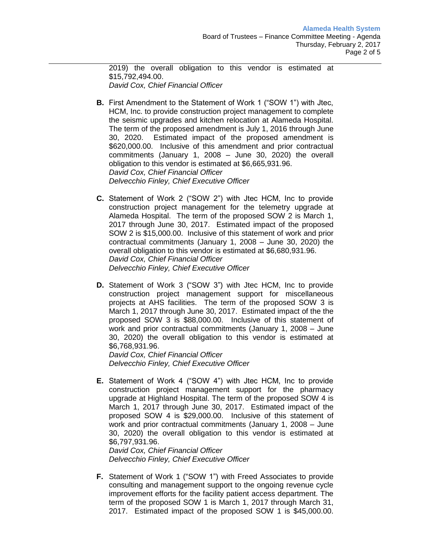2019) the overall obligation to this vendor is estimated at \$15,792,494.00. *David Cox, Chief Financial Officer* 

- **B.** First Amendment to the Statement of Work 1 ("SOW 1") with Jtec, HCM, Inc. to provide construction project management to complete the seismic upgrades and kitchen relocation at Alameda Hospital. The term of the proposed amendment is July 1, 2016 through June 30, 2020. Estimated impact of the proposed amendment is \$620,000.00. Inclusive of this amendment and prior contractual commitments (January 1, 2008 – June 30, 2020) the overall obligation to this vendor is estimated at \$6,665,931.96. *David Cox, Chief Financial Officer Delvecchio Finley, Chief Executive Officer*
- **C.** Statement of Work 2 ("SOW 2") with Jtec HCM, Inc to provide construction project management for the telemetry upgrade at Alameda Hospital. The term of the proposed SOW 2 is March 1, 2017 through June 30, 2017. Estimated impact of the proposed SOW 2 is \$15,000.00. Inclusive of this statement of work and prior contractual commitments (January 1, 2008 – June 30, 2020) the overall obligation to this vendor is estimated at \$6,680,931.96. *David Cox, Chief Financial Officer Delvecchio Finley, Chief Executive Officer*
- **D.** Statement of Work 3 ("SOW 3") with Jtec HCM, Inc to provide construction project management support for miscellaneous projects at AHS facilities. The term of the proposed SOW 3 is March 1, 2017 through June 30, 2017. Estimated impact of the the proposed SOW 3 is \$88,000.00. Inclusive of this statement of work and prior contractual commitments (January 1, 2008 – June 30, 2020) the overall obligation to this vendor is estimated at \$6,768,931.96.

*David Cox, Chief Financial Officer Delvecchio Finley, Chief Executive Officer*

**E.** Statement of Work 4 ("SOW 4") with Jtec HCM, Inc to provide construction project management support for the pharmacy upgrade at Highland Hospital. The term of the proposed SOW 4 is March 1, 2017 through June 30, 2017. Estimated impact of the proposed SOW 4 is \$29,000.00. Inclusive of this statement of work and prior contractual commitments (January 1, 2008 – June 30, 2020) the overall obligation to this vendor is estimated at \$6,797,931.96.

*David Cox, Chief Financial Officer Delvecchio Finley, Chief Executive Officer*

**F.** Statement of Work 1 ("SOW 1") with Freed Associates to provide consulting and management support to the ongoing revenue cycle improvement efforts for the facility patient access department. The term of the proposed SOW 1 is March 1, 2017 through March 31, 2017. Estimated impact of the proposed SOW 1 is \$45,000.00.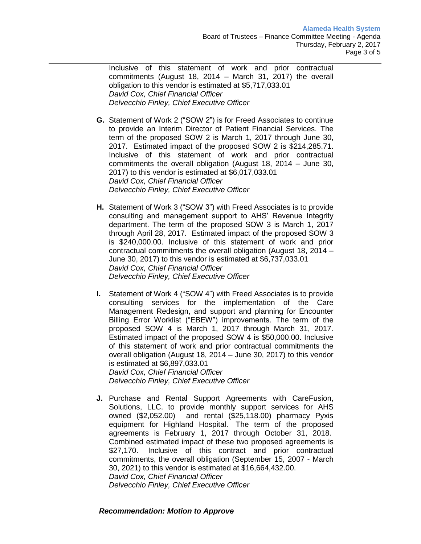Inclusive of this statement of work and prior contractual commitments (August 18, 2014 – March 31, 2017) the overall obligation to this vendor is estimated at \$5,717,033.01 *David Cox, Chief Financial Officer Delvecchio Finley, Chief Executive Officer*

- **G.** Statement of Work 2 ("SOW 2") is for Freed Associates to continue to provide an Interim Director of Patient Financial Services. The term of the proposed SOW 2 is March 1, 2017 through June 30, 2017. Estimated impact of the proposed SOW 2 is \$214,285.71. Inclusive of this statement of work and prior contractual commitments the overall obligation (August 18, 2014 – June 30, 2017) to this vendor is estimated at \$6,017,033.01 *David Cox, Chief Financial Officer Delvecchio Finley, Chief Executive Officer*
- **H.** Statement of Work 3 ("SOW 3") with Freed Associates is to provide consulting and management support to AHS' Revenue Integrity department. The term of the proposed SOW 3 is March 1, 2017 through April 28, 2017. Estimated impact of the proposed SOW 3 is \$240,000.00. Inclusive of this statement of work and prior contractual commitments the overall obligation (August 18, 2014 – June 30, 2017) to this vendor is estimated at \$6,737,033.01 *David Cox, Chief Financial Officer Delvecchio Finley, Chief Executive Officer*
- **I.** Statement of Work 4 ("SOW 4") with Freed Associates is to provide consulting services for the implementation of the Care Management Redesign, and support and planning for Encounter Billing Error Worklist ("EBEW") improvements. The term of the proposed SOW 4 is March 1, 2017 through March 31, 2017. Estimated impact of the proposed SOW 4 is \$50,000.00. Inclusive of this statement of work and prior contractual commitments the overall obligation (August 18, 2014 – June 30, 2017) to this vendor is estimated at \$6,897,033.01 *David Cox, Chief Financial Officer Delvecchio Finley, Chief Executive Officer*
- **J.** Purchase and Rental Support Agreements with CareFusion, Solutions, LLC. to provide monthly support services for AHS owned (\$2,052.00) and rental (\$25,118.00) pharmacy Pyxis equipment for Highland Hospital. The term of the proposed agreements is February 1, 2017 through October 31, 2018. Combined estimated impact of these two proposed agreements is \$27,170. Inclusive of this contract and prior contractual commitments, the overall obligation (September 15, 2007 - March 30, 2021) to this vendor is estimated at \$16,664,432.00. *David Cox, Chief Financial Officer*

*Delvecchio Finley, Chief Executive Officer*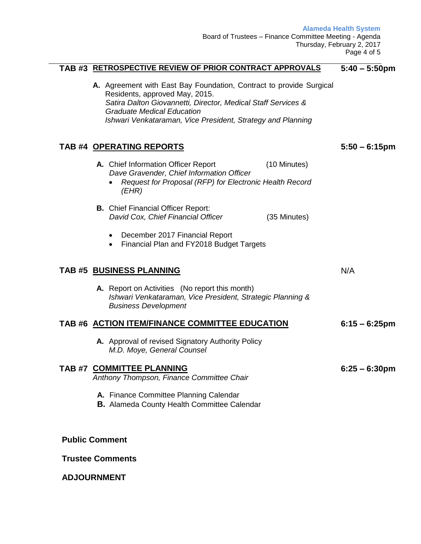**Alameda Health System**

**5:50 – 6:15pm** 

N/A

**6:25 – 6:30pm** 

Board of Trustees – Finance Committee Meeting - Agenda Thursday, February 2, 2017 Page 4 of 5

#### **TAB #3 RETROSPECTIVE REVIEW OF PRIOR CONTRACT APPROVALS 5:40 – 5:50pm**

**A.** Agreement with East Bay Foundation, Contract to provide Surgical Residents, approved May, 2015. *Satira Dalton Giovannetti, Director, Medical Staff Services & Graduate Medical Education Ishwari Venkataraman, Vice President, Strategy and Planning*

#### **TAB #4 OPERATING REPORTS**

- A. Chief Information Officer Report (10 Minutes)  *Dave Gravender, Chief Information Officer*
	- *Request for Proposal (RFP) for Electronic Health Record (EHR)*
- **B.** Chief Financial Officer Report:  *David Cox, Chief Financial Officer* (35 Minutes)
	- December 2017 Financial Report
	- Financial Plan and FY2018 Budget Targets

#### **TAB #5 BUSINESS PLANNING**

**A.** Report on Activities (No report this month) *Ishwari Venkataraman, Vice President, Strategic Planning & Business Development*

#### **TAB #6 ACTION ITEM/FINANCE COMMITTEE EDUCATION 6:15 – 6:25pm**

**A.** Approval of revised Signatory Authority Policy *M.D. Moye, General Counsel*

# **TAB #7 COMMITTEE PLANNING**

*Anthony Thompson, Finance Committee Chair*

- **A.** Finance Committee Planning Calendar
- **B.** Alameda County Health Committee Calendar

**Public Comment**

#### **Trustee Comments**

#### **ADJOURNMENT**